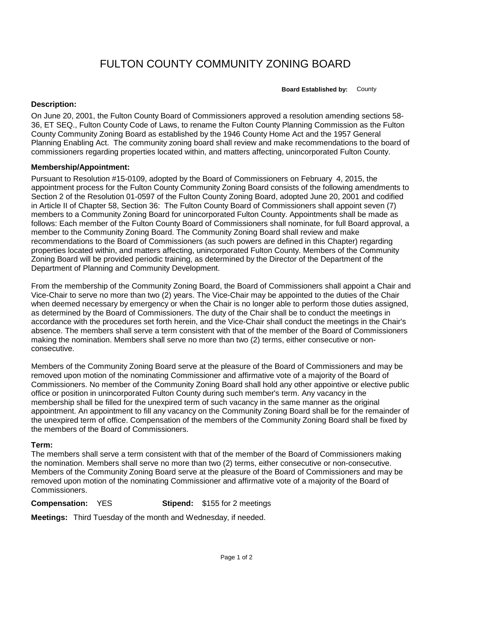## FULTON COUNTY COMMUNITY ZONING BOARD

**Board Established by:** County

## **Description:**

On June 20, 2001, the Fulton County Board of Commissioners approved a resolution amending sections 58- 36, ET SEQ., Fulton County Code of Laws, to rename the Fulton County Planning Commission as the Fulton County Community Zoning Board as established by the 1946 County Home Act and the 1957 General Planning Enabling Act. The community zoning board shall review and make recommendations to the board of commissioners regarding properties located within, and matters affecting, unincorporated Fulton County.

## **Membership/Appointment:**

Pursuant to Resolution #15-0109, adopted by the Board of Commissioners on February 4, 2015, the appointment process for the Fulton County Community Zoning Board consists of the following amendments to Section 2 of the Resolution 01-0597 of the Fulton County Zoning Board, adopted June 20, 2001 and codified in Article II of Chapter 58, Section 36: The Fulton County Board of Commissioners shall appoint seven (7) members to a Community Zoning Board for unincorporated Fulton County. Appointments shall be made as follows: Each member of the Fulton County Board of Commissioners shall nominate, for full Board approval, a member to the Community Zoning Board. The Community Zoning Board shall review and make recommendations to the Board of Commissioners (as such powers are defined in this Chapter) regarding properties located within, and matters affecting, unincorporated Fulton County. Members of the Community Zoning Board will be provided periodic training, as determined by the Director of the Department of the Department of Planning and Community Development.

From the membership of the Community Zoning Board, the Board of Commissioners shall appoint a Chair and Vice-Chair to serve no more than two (2) years. The Vice-Chair may be appointed to the duties of the Chair when deemed necessary by emergency or when the Chair is no longer able to perform those duties assigned, as determined by the Board of Commissioners. The duty of the Chair shall be to conduct the meetings in accordance with the procedures set forth herein, and the Vice-Chair shall conduct the meetings in the Chair's absence. The members shall serve a term consistent with that of the member of the Board of Commissioners making the nomination. Members shall serve no more than two (2) terms, either consecutive or nonconsecutive.

Members of the Community Zoning Board serve at the pleasure of the Board of Commissioners and may be removed upon motion of the nominating Commissioner and affirmative vote of a majority of the Board of Commissioners. No member of the Community Zoning Board shall hold any other appointive or elective public office or position in unincorporated Fulton County during such member's term. Any vacancy in the membership shall be filled for the unexpired term of such vacancy in the same manner as the original appointment. An appointment to fill any vacancy on the Community Zoning Board shall be for the remainder of the unexpired term of office. Compensation of the members of the Community Zoning Board shall be fixed by the members of the Board of Commissioners.

## **Term:**

The members shall serve a term consistent with that of the member of the Board of Commissioners making the nomination. Members shall serve no more than two (2) terms, either consecutive or non-consecutive. Members of the Community Zoning Board serve at the pleasure of the Board of Commissioners and may be removed upon motion of the nominating Commissioner and affirmative vote of a majority of the Board of Commissioners.

**Compensation:** YES **Stipend:** \$155 for 2 meetings

**Meetings:** Third Tuesday of the month and Wednesday, if needed.